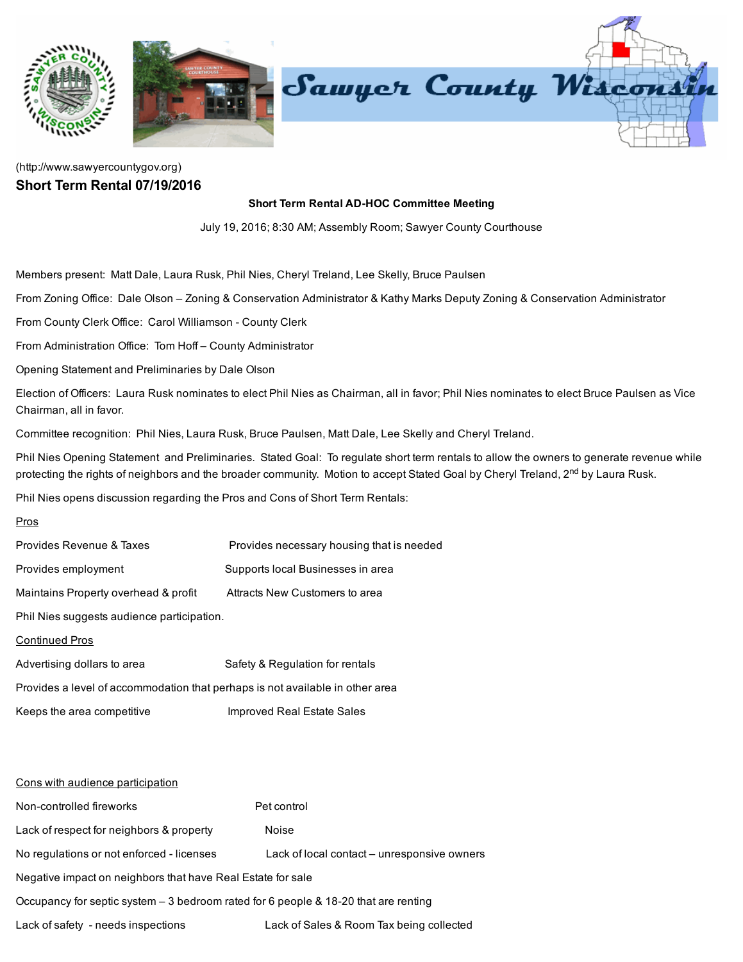

## [\(http://www.sawyercountygov.org\)](http://www.sawyercountygov.org/) Short Term Rental 07/19/2016

## Short Term Rental AD-HOC Committee Meeting

July 19, 2016; 8:30 AM; Assembly Room; Sawyer County Courthouse

Members present: Matt Dale, Laura Rusk, Phil Nies, Cheryl Treland, Lee Skelly, Bruce Paulsen

From Zoning Office: Dale Olson – Zoning & Conservation Administrator & Kathy Marks Deputy Zoning & Conservation Administrator

From County Clerk Office: Carol Williamson - County Clerk

From Administration Office: Tom Hoff – County Administrator

Opening Statement and Preliminaries by Dale Olson

Election of Officers: Laura Rusk nominates to elect Phil Nies as Chairman, all in favor; Phil Nies nominates to elect Bruce Paulsen as Vice Chairman, all in favor.

Committee recognition: Phil Nies, Laura Rusk, Bruce Paulsen, Matt Dale, Lee Skelly and Cheryl Treland.

Phil Nies Opening Statement and Preliminaries. Stated Goal: To regulate short term rentals to allow the owners to generate revenue while protecting the rights of neighbors and the broader community. Motion to accept Stated Goal by Cheryl Treland, 2<sup>nd</sup> by Laura Rusk.

Phil Nies opens discussion regarding the Pros and Cons of Short Term Rentals:

## Pros

| Provides Revenue & Taxes                                                      | Provides necessary housing that is needed |
|-------------------------------------------------------------------------------|-------------------------------------------|
| Provides employment                                                           | Supports local Businesses in area         |
| Maintains Property overhead & profit                                          | Attracts New Customers to area            |
| Phil Nies suggests audience participation.                                    |                                           |
| <b>Continued Pros</b>                                                         |                                           |
| Advertising dollars to area                                                   | Safety & Regulation for rentals           |
| Provides a level of accommodation that perhaps is not available in other area |                                           |
| Keeps the area competitive                                                    | Improved Real Estate Sales                |

## Cons with audience participation

| Non-controlled fireworks                                                             | Pet control                                 |
|--------------------------------------------------------------------------------------|---------------------------------------------|
| Lack of respect for neighbors & property                                             | <b>Noise</b>                                |
| No regulations or not enforced - licenses                                            | Lack of local contact – unresponsive owners |
| Negative impact on neighbors that have Real Estate for sale                          |                                             |
| Occupancy for septic system $-3$ bedroom rated for 6 people & 18-20 that are renting |                                             |
| Lack of safety - needs inspections                                                   | Lack of Sales & Room Tax being collected    |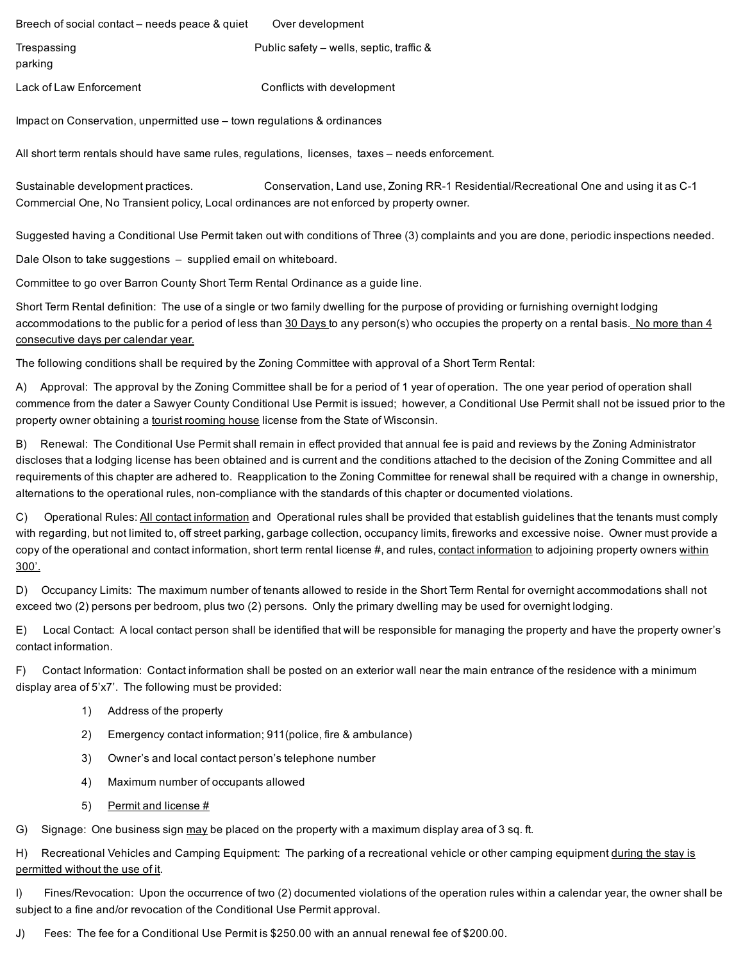Breech of social contact – needs peace & quiet Over development Trespassing Trespassing **Public safety – wells, septic, traffic &** 

parking

Lack of Law Enforcement Conflicts with development

Impact on Conservation, unpermitted use – town regulations & ordinances

All short term rentals should have same rules, regulations, licenses, taxes – needs enforcement.

Sustainable development practices. Conservation, Land use, Zoning RR-1 Residential/Recreational One and using it as C-1 Commercial One, No Transient policy, Local ordinances are not enforced by property owner.

Suggested having a Conditional Use Permit taken out with conditions of Three (3) complaints and you are done, periodic inspections needed.

Dale Olson to take suggestions – supplied email on whiteboard.

Committee to go over Barron County Short Term Rental Ordinance as a guide line.

Short Term Rental definition: The use of a single or two family dwelling for the purpose of providing or furnishing overnight lodging accommodations to the public for a period of less than 30 Days to any person(s) who occupies the property on a rental basis. No more than 4 consecutive days per calendar year.

The following conditions shall be required by the Zoning Committee with approval of a Short Term Rental:

A) Approval: The approval by the Zoning Committee shall be for a period of 1 year of operation. The one year period of operation shall commence from the dater a Sawyer County Conditional Use Permit is issued; however, a Conditional Use Permit shall not be issued prior to the property owner obtaining a tourist rooming house license from the State of Wisconsin.

B) Renewal: The Conditional Use Permit shall remain in effect provided that annual fee is paid and reviews by the Zoning Administrator discloses that a lodging license has been obtained and is current and the conditions attached to the decision of the Zoning Committee and all requirements of this chapter are adhered to. Reapplication to the Zoning Committee for renewal shall be required with a change in ownership, alternations to the operational rules, non-compliance with the standards of this chapter or documented violations.

C) Operational Rules: All contact information and Operational rules shall be provided that establish guidelines that the tenants must comply with regarding, but not limited to, off street parking, garbage collection, occupancy limits, fireworks and excessive noise. Owner must provide a copy of the operational and contact information, short term rental license #, and rules, contact information to adjoining property owners within 300'.

D) Occupancy Limits: The maximum number of tenants allowed to reside in the Short Term Rental for overnight accommodations shall not exceed two (2) persons per bedroom, plus two (2) persons. Only the primary dwelling may be used for overnight lodging.

E) Local Contact: A local contact person shall be identified that will be responsible for managing the property and have the property owner's contact information.

F) Contact Information: Contact information shall be posted on an exterior wall near the main entrance of the residence with a minimum display area of 5'x7'. The following must be provided:

- 1) Address of the property
- 2) Emergency contact information; 911(police, fire & ambulance)
- 3) Owner's and local contact person's telephone number
- 4) Maximum number of occupants allowed
- 5) Permit and license #

G) Signage: One business sign may be placed on the property with a maximum display area of 3 sq. ft.

H) Recreational Vehicles and Camping Equipment: The parking of a recreational vehicle or other camping equipment during the stay is permitted without the use of it.

I) Fines/Revocation: Upon the occurrence of two (2) documented violations of the operation rules within a calendar year, the owner shall be subject to a fine and/or revocation of the Conditional Use Permit approval.

J) Fees: The fee for a Conditional Use Permit is \$250.00 with an annual renewal fee of \$200.00.